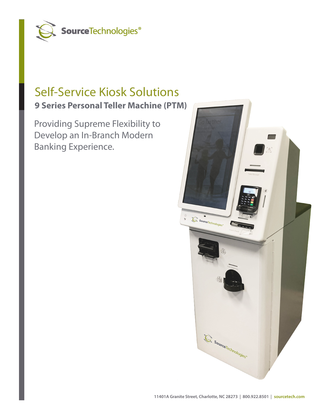

## Self-Service Kiosk Solutions **9 Series Personal Teller Machine (PTM)**

Providing Supreme Flexibility to Develop an In-Branch Modern Banking Experience.

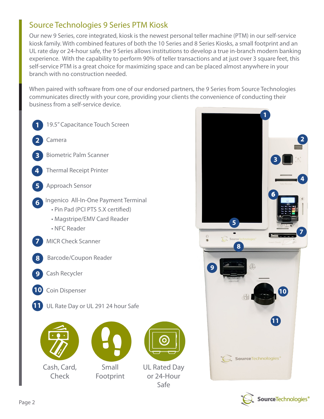## Source Technologies 9 Series PTM Kiosk

kiosk farmly. With combined features or both the 10 Series and 6 Series Riosks, a small footprift and an<br>UL rate day or 24-hour safe, the 9 Series allows institutions to develop a true in-branch modern banking experience. With the capability to perform 90% of teller transactions and at just over 3 square feet, this self-service PTM is a great choice for maximizing space and can be placed almost anywhere in your branch with no construction needed. This self-service and can be place and can be placed and can be placed and can be placed and can be placed and can be placed and can be placed and can be placed and can be placed and can Our new 9 Series, core integrated, kiosk is the newest personal teller machine (PTM) in our self-service kiosk family. With combined features of both the 10 Series and 8 Series Kiosks, a small footprint and an

communicates directly with your core, providing your clients the convenience of conducting their business from a self-service device. When paired with software from one of our endorsed partners, the 9 Series from Source Technologies





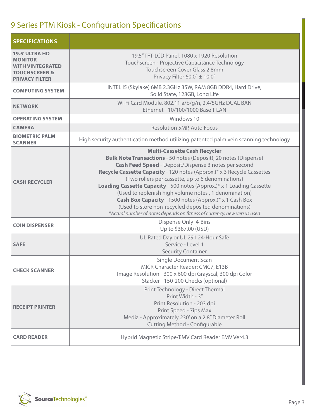## 9 Series PTM Kiosk - Configuration Specifications

| <b>SPECIFICATIONS</b>                                                                                                   |                                                                                                                                                                                                                                                                                                                                                                                                                                                                                                                                                                                                                                       |
|-------------------------------------------------------------------------------------------------------------------------|---------------------------------------------------------------------------------------------------------------------------------------------------------------------------------------------------------------------------------------------------------------------------------------------------------------------------------------------------------------------------------------------------------------------------------------------------------------------------------------------------------------------------------------------------------------------------------------------------------------------------------------|
| <b>19.5' ULTRA HD</b><br><b>MONITOR</b><br><b>WITH VINTEGRATED</b><br><b>TOUCHSCREEN &amp;</b><br><b>PRIVACY FILTER</b> | 19.5" TFT-LCD Panel, 1080 x 1920 Resolution<br>Touchscreen - Projective Capacitance Technology<br>Touchscreen Cover Glass 2.8mm<br>Privacy Filter 60.0° ± 10.0°                                                                                                                                                                                                                                                                                                                                                                                                                                                                       |
| <b>COMPUTING SYSTEM</b>                                                                                                 | INTEL i5 (Skylake) 6MB 2.3GHz 35W, RAM 8GB DDR4, Hard Drive,<br>Solid State, 128GB, Long Life                                                                                                                                                                                                                                                                                                                                                                                                                                                                                                                                         |
| <b>NETWORK</b>                                                                                                          | Wi-Fi Card Module, 802.11 a/b/g/n, 2.4/5GHz DUAL BAN<br>Ethernet - 10/100/1000 Base T LAN                                                                                                                                                                                                                                                                                                                                                                                                                                                                                                                                             |
| <b>OPERATING SYSTEM</b>                                                                                                 | Windows 10                                                                                                                                                                                                                                                                                                                                                                                                                                                                                                                                                                                                                            |
| <b>CAMERA</b>                                                                                                           | <b>Resolution 5MP, Auto Focus</b>                                                                                                                                                                                                                                                                                                                                                                                                                                                                                                                                                                                                     |
| <b>BIOMETRIC PALM</b><br><b>SCANNER</b>                                                                                 | High security authentication method utilizing patented palm vein scanning technology                                                                                                                                                                                                                                                                                                                                                                                                                                                                                                                                                  |
| <b>CASH RECYCLER</b>                                                                                                    | <b>Multi-Cassette Cash Recycler</b><br><b>Bulk Note Transactions - 50 notes (Deposit), 20 notes (Dispense)</b><br>Cash Feed Speed - Deposit/Dispense 3 notes per second<br>Recycle Cassette Capacity - 120 notes (Approx.)* x 3 Recycle Cassettes<br>(Two rollers per cassette, up to 6 denominations)<br>Loading Cassette Capacity - 500 notes (Approx.)* x 1 Loading Cassette<br>(Used to replenish high volume notes, 1 denomination)<br>Cash Box Capacity - 1500 notes (Approx.)* x 1 Cash Box<br>(Used to store non-recycled deposited denominations)<br>*Actual number of notes depends on fitness of currency, new versus used |
| <b>COIN DISPENSER</b>                                                                                                   | Dispense Only 4-Bins<br>Up to \$387.00 (USD)                                                                                                                                                                                                                                                                                                                                                                                                                                                                                                                                                                                          |
| <b>SAFE</b>                                                                                                             | UL Rated Day or UL 291 24-Hour Safe<br>Service - Level 1<br><b>Security Container</b>                                                                                                                                                                                                                                                                                                                                                                                                                                                                                                                                                 |
| <b>CHECK SCANNER</b>                                                                                                    | <b>Single Document Scan</b><br>MICR Character Reader: CMC7, E13B<br>Image Resolution - 300 x 600 dpi Grayscal, 300 dpi Color<br>Stacker - 150-200 Checks (optional)                                                                                                                                                                                                                                                                                                                                                                                                                                                                   |
| <b>RECEIPT PRINTER</b>                                                                                                  | Print Technology - Direct Thermal<br>Print Width - 3"<br>Print Resolution - 203 dpi<br>Print Speed - 7ips Max<br>Media - Approximately 230' on a 2.8" Diameter Roll<br><b>Cutting Method - Configurable</b>                                                                                                                                                                                                                                                                                                                                                                                                                           |
| <b>CARD READER</b>                                                                                                      | Hybrid Magnetic Stripe/EMV Card Reader EMV Ver4.3                                                                                                                                                                                                                                                                                                                                                                                                                                                                                                                                                                                     |

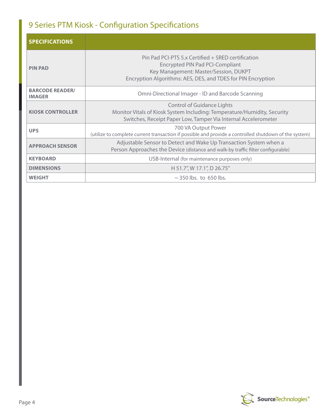## 9 Series PTM Kiosk - Configuration Specifications

| <b>SPECIFICATIONS</b>                   |                                                                                                                                                                                                       |
|-----------------------------------------|-------------------------------------------------------------------------------------------------------------------------------------------------------------------------------------------------------|
| <b>PIN PAD</b>                          | Pin Pad PCI-PTS 5.x Certified + SRED certification<br><b>Encrypted PIN Pad PCI-Compliant</b><br>Key Management: Master/Session, DUKPT<br>Encryption Algorithms: AES, DES, and TDES for PIN Encryption |
| <b>BARCODE READER/</b><br><b>IMAGER</b> | Omni-Directional Imager - ID and Barcode Scanning                                                                                                                                                     |
| <b>KIOSK CONTROLLER</b>                 | <b>Control of Guidance Lights</b><br>Monitor Vitals of Kiosk System Including: Temperature/Humidity, Security<br>Switches, Receipt Paper Low, Tamper Via Internal Accelerometer                       |
| <b>UPS</b>                              | 700 VA Output Power<br>(utilize to complete current transaction if possible and provide a controlled shutdown of the system)                                                                          |
| <b>APPROACH SENSOR</b>                  | Adjustable Sensor to Detect and Wake Up Transaction System when a<br>Person Approaches the Device (distance and walk-by traffic filter configurable)                                                  |
| <b>KEYBOARD</b>                         | USB-Internal (for maintenance purposes only)                                                                                                                                                          |
| <b>DIMENSIONS</b>                       | H 51.7", W 17.1", D 26.75"                                                                                                                                                                            |
| <b>WEIGHT</b>                           | $\sim$ 350 lbs. to 650 lbs.                                                                                                                                                                           |